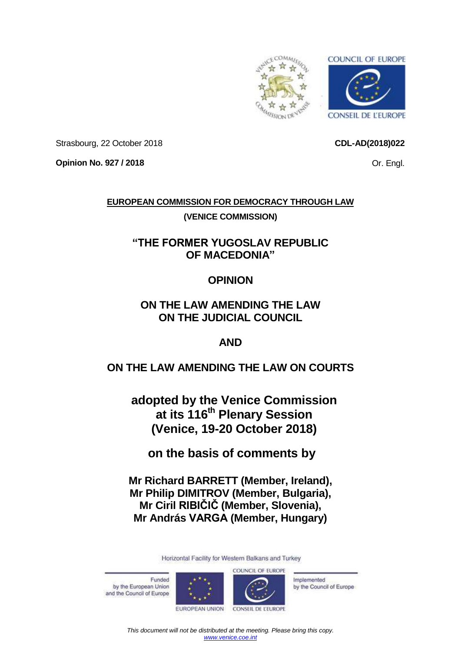<span id="page-0-0"></span>

**CDL-AD(2018)022**

Or. Engl.

Strasbourg, 22 October 2018

**Opinion No. 927 / 2018**

## **EUROPEAN COMMISSION FOR DEMOCRACY THROUGH LAW**

## **(VENICE COMMISSION)**

# **"THE FORMER YUGOSLAV REPUBLIC OF MACEDONIA"**

## **OPINION**

# **ON THE LAW AMENDING THE LAW ON THE JUDICIAL COUNCIL**

## **AND**

# **ON THE LAW AMENDING THE LAW ON COURTS**

**adopted by the Venice Commission at its 116th Plenary Session (Venice, 19-20 October 2018)**

**on the basis of comments by** 

**Mr Richard BARRETT (Member, Ireland), Mr Philip DIMITROV (Member, Bulgaria), Mr Ciril RIBIČIČ (Member, Slovenia), Mr András VARGA (Member, Hungary)**

Horizontal Facility for Western Balkans and Turkey

Funded by the European Union and the Council of Europe





Implemented by the Council of Europe

EUROPEAN UNION

*This document will not be distributed at the meeting. Please bring this copy. [www.venice.coe.int](http://www.venice.coe.int/)*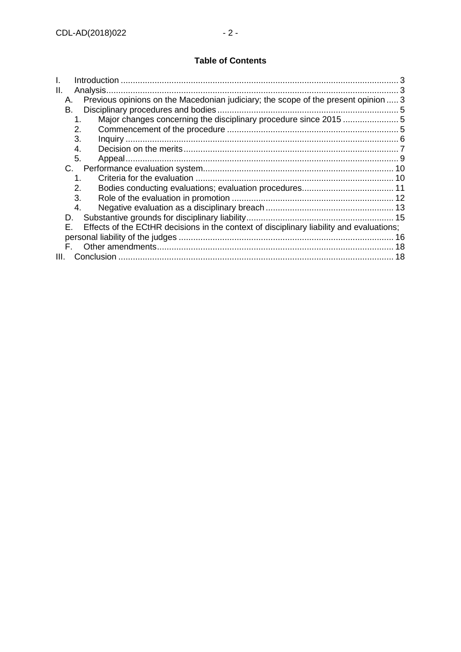## **Table of Contents**

| Ш.<br>Analysis.                                                                                |    |
|------------------------------------------------------------------------------------------------|----|
| Previous opinions on the Macedonian judiciary; the scope of the present opinion  3<br>А.       |    |
| В.                                                                                             |    |
| Major changes concerning the disciplinary procedure since 2015 5<br>1.                         |    |
| 2.                                                                                             |    |
| 3.                                                                                             |    |
| 4.                                                                                             |    |
| 5.                                                                                             |    |
| C.                                                                                             |    |
| $\mathbf 1$                                                                                    |    |
| 2.                                                                                             |    |
| 3.                                                                                             |    |
| 4.                                                                                             |    |
| D.                                                                                             |    |
| Effects of the ECtHR decisions in the context of disciplinary liability and evaluations;<br>F. |    |
|                                                                                                | 16 |
|                                                                                                |    |
| Conclusion<br>III.                                                                             | 18 |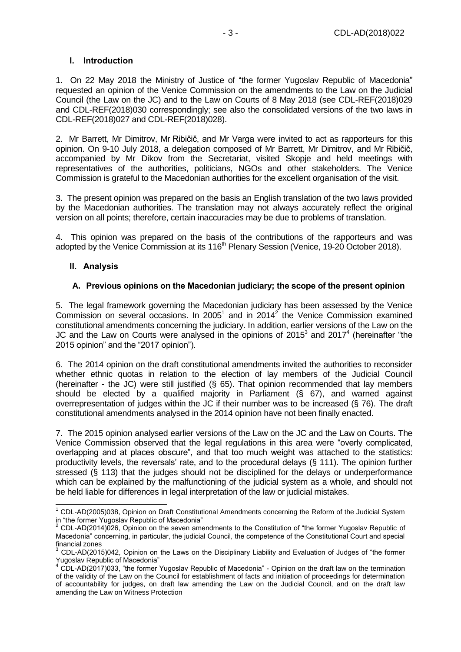#### <span id="page-2-0"></span>**I. Introduction**

1. On 22 May 2018 the Ministry of Justice of "the former Yugoslav Republic of Macedonia" requested an opinion of the Venice Commission on the amendments to the Law on the Judicial Council (the Law on the JC) and to the Law on Courts of 8 May 2018 (see CDL-REF(2018)029 and CDL-REF(2018)030 correspondingly; see also the consolidated versions of the two laws in CDL-REF(2018)027 and CDL-REF(2018)028).

2. Mr Barrett, Mr Dimitrov, Mr Ribičič, and Mr Varga were invited to act as rapporteurs for this opinion. On 9-10 July 2018, a delegation composed of Mr Barrett, Mr Dimitrov, and Mr Ribičič, accompanied by Mr Dikov from the Secretariat, visited Skopje and held meetings with representatives of the authorities, politicians, NGOs and other stakeholders. The Venice Commission is grateful to the Macedonian authorities for the excellent organisation of the visit.

3. The present opinion was prepared on the basis an English translation of the two laws provided by the Macedonian authorities. The translation may not always accurately reflect the original version on all points; therefore, certain inaccuracies may be due to problems of translation.

4. This opinion was prepared on the basis of the contributions of the rapporteurs and was adopted by the Venice Commission at its 116<sup>th</sup> Plenary Session (Venice, 19-20 October 2018).

#### <span id="page-2-1"></span>**II. Analysis**

#### <span id="page-2-2"></span>**A. Previous opinions on the Macedonian judiciary; the scope of the present opinion**

5. The legal framework governing the Macedonian judiciary has been assessed by the Venice Commission on several occasions. In 2005 $^1$  and in 2014 $^2$  the Venice Commission examined constitutional amendments concerning the judiciary. In addition, earlier versions of the Law on the JC and the Law on Courts were analysed in the opinions of 2015 $3$  and 2017 $4$  (hereinafter "the 2015 opinion" and the "2017 opinion").

6. The 2014 opinion on the draft constitutional amendments invited the authorities to reconsider whether ethnic quotas in relation to the election of lay members of the Judicial Council (hereinafter - the JC) were still justified (§ 65). That opinion recommended that lay members should be elected by a qualified majority in Parliament (§ 67), and warned against overrepresentation of judges within the JC if their number was to be increased (§ 76). The draft constitutional amendments analysed in the 2014 opinion have not been finally enacted.

7. The 2015 opinion analysed earlier versions of the Law on the JC and the Law on Courts. The Venice Commission observed that the legal regulations in this area were "overly complicated, overlapping and at places obscure", and that too much weight was attached to the statistics: productivity levels, the reversals' rate, and to the procedural delays (§ 111). The opinion further stressed (§ 113) that the judges should not be disciplined for the delays or underperformance which can be explained by the malfunctioning of the judicial system as a whole, and should not be held liable for differences in legal interpretation of the law or judicial mistakes.

<sup>-</sup> $1$  CDL-AD(2005)038, Opinion on Draft Constitutional Amendments concerning the Reform of the Judicial System in "the former Yugoslav Republic of Macedonia"

 $2$  CDL-AD(2014)026, Opinion on the seven amendments to the Constitution of "the former Yugoslav Republic of Macedonia" concerning, in particular, the judicial Council, the competence of the Constitutional Court and special financial zones

<sup>3</sup> CDL-AD(2015)042, Opinion on the Laws on the Disciplinary Liability and Evaluation of Judges of "the former Yugoslav Republic of Macedonia"

 $4$  CDL-AD(2017)033, "the former Yugoslav Republic of Macedonia" - Opinion on the draft law on the termination of the validity of the Law on the Council for establishment of facts and initiation of proceedings for determination of accountability for judges, on draft law amending the Law on the Judicial Council, and on the draft law amending the Law on Witness Protection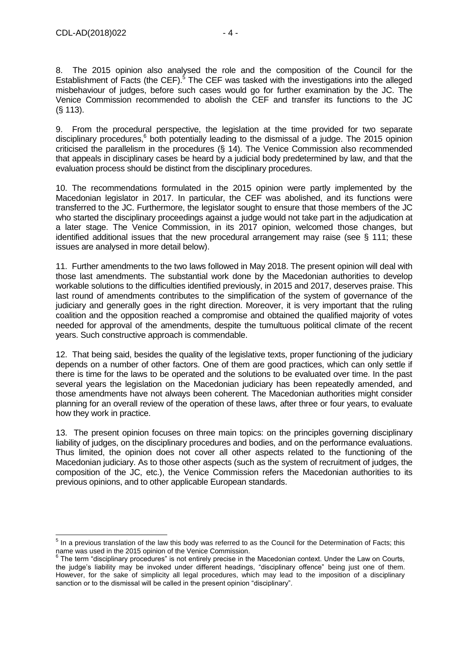8. The 2015 opinion also analysed the role and the composition of the Council for the Establishment of Facts (the CEF). $5$  The CEF was tasked with the investigations into the alleged misbehaviour of judges, before such cases would go for further examination by the JC. The Venice Commission recommended to abolish the CEF and transfer its functions to the JC (§ 113).

9. From the procedural perspective, the legislation at the time provided for two separate disciplinary procedures,<sup>6</sup> both potentially leading to the dismissal of a judge. The 2015 opinion criticised the parallelism in the procedures (§ 14). The Venice Commission also recommended that appeals in disciplinary cases be heard by a judicial body predetermined by law, and that the evaluation process should be distinct from the disciplinary procedures.

10. The recommendations formulated in the 2015 opinion were partly implemented by the Macedonian legislator in 2017. In particular, the CEF was abolished, and its functions were transferred to the JC. Furthermore, the legislator sought to ensure that those members of the JC who started the disciplinary proceedings against a judge would not take part in the adjudication at a later stage. The Venice Commission, in its 2017 opinion, welcomed those changes, but identified additional issues that the new procedural arrangement may raise (see § 111; these issues are analysed in more detail below).

11. Further amendments to the two laws followed in May 2018. The present opinion will deal with those last amendments. The substantial work done by the Macedonian authorities to develop workable solutions to the difficulties identified previously, in 2015 and 2017, deserves praise. This last round of amendments contributes to the simplification of the system of governance of the judiciary and generally goes in the right direction. Moreover, it is very important that the ruling coalition and the opposition reached a compromise and obtained the qualified majority of votes needed for approval of the amendments, despite the tumultuous political climate of the recent years. Such constructive approach is commendable.

12. That being said, besides the quality of the legislative texts, proper functioning of the judiciary depends on a number of other factors. One of them are good practices, which can only settle if there is time for the laws to be operated and the solutions to be evaluated over time. In the past several years the legislation on the Macedonian judiciary has been repeatedly amended, and those amendments have not always been coherent. The Macedonian authorities might consider planning for an overall review of the operation of these laws, after three or four years, to evaluate how they work in practice.

13. The present opinion focuses on three main topics: on the principles governing disciplinary liability of judges, on the disciplinary procedures and bodies, and on the performance evaluations. Thus limited, the opinion does not cover all other aspects related to the functioning of the Macedonian judiciary. As to those other aspects (such as the system of recruitment of judges, the composition of the JC, etc.), the Venice Commission refers the Macedonian authorities to its previous opinions, and to other applicable European standards.

 5 In a previous translation of the law this body was referred to as the Council for the Determination of Facts; this

name was used in the 2015 opinion of the Venice Commission.<br><sup>6</sup> The term "disciplinary procedures" is not entirely precise in the Macedonian context. Under the Law on Courts, the judge's liability may be invoked under different headings, "disciplinary offence" being just one of them. However, for the sake of simplicity all legal procedures, which may lead to the imposition of a disciplinary sanction or to the dismissal will be called in the present opinion "disciplinary".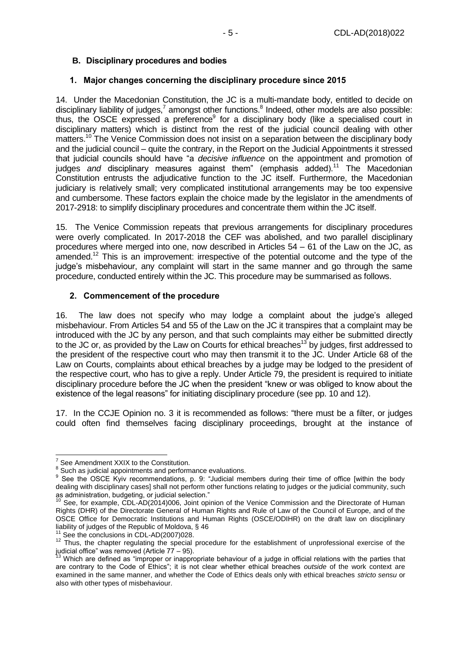### <span id="page-4-0"></span>**B. Disciplinary procedures and bodies**

#### <span id="page-4-1"></span>**1. Major changes concerning the disciplinary procedure since 2015**

14. Under the Macedonian Constitution, the JC is a multi-mandate body, entitled to decide on disciplinary liability of judges,<sup>7</sup> amongst other functions.<sup>8</sup> Indeed, other models are also possible: thus, the OSCE expressed a preference<sup>9</sup> for a disciplinary body (like a specialised court in disciplinary matters) which is distinct from the rest of the judicial council dealing with other matters.<sup>10</sup> The Venice Commission does not insist on a separation between the disciplinary body and the judicial council – quite the contrary, in the Report on the Judicial Appointments it stressed that judicial councils should have "a *decisive influence* on the appointment and promotion of judges *and* disciplinary measures against them" (emphasis added).<sup>11</sup> The Macedonian Constitution entrusts the adjudicative function to the JC itself. Furthermore, the Macedonian judiciary is relatively small; very complicated institutional arrangements may be too expensive and cumbersome. These factors explain the choice made by the legislator in the amendments of 2017-2918: to simplify disciplinary procedures and concentrate them within the JC itself.

15. The Venice Commission repeats that previous arrangements for disciplinary procedures were overly complicated. In 2017-2018 the CEF was abolished, and two parallel disciplinary procedures where merged into one, now described in Articles 54 – 61 of the Law on the JC, as amended.<sup>12</sup> This is an improvement: irrespective of the potential outcome and the type of the judge's misbehaviour, any complaint will start in the same manner and go through the same procedure, conducted entirely within the JC. This procedure may be summarised as follows.

#### <span id="page-4-2"></span>**2. Commencement of the procedure**

16. The law does not specify who may lodge a complaint about the judge's alleged misbehaviour. From Articles 54 and 55 of the Law on the JC it transpires that a complaint may be introduced with the JC by any person, and that such complaints may either be submitted directly to the JC or, as provided by the Law on Courts for ethical breaches<sup>13</sup> by judges, first addressed to the president of the respective court who may then transmit it to the JC. Under Article 68 of the Law on Courts, complaints about ethical breaches by a judge may be lodged to the president of the respective court, who has to give a reply. Under Article 79, the president is required to initiate disciplinary procedure before the JC when the president "knew or was obliged to know about the existence of the legal reasons" for initiating disciplinary procedure (see pp. 10 and 12).

17. In the CCJE Opinion no. 3 it is recommended as follows: "there must be a filter, or judges could often find themselves facing disciplinary proceedings, brought at the instance of

 7 See Amendment XXIX to the Constitution.

 $8$  Such as judicial appointments and performance evaluations.

<sup>&</sup>lt;sup>9</sup> See the OSCE Kyiv recommendations, p. 9: "Judicial members during their time of office [within the body dealing with disciplinary cases] shall not perform other functions relating to judges or the judicial community, such as administration, budgeting, or judicial selection."

See, for example, CDL-AD(2014)006, Joint opinion of the Venice Commission and the Directorate of Human Rights (DHR) of the Directorate General of Human Rights and Rule of Law of the Council of Europe, and of the OSCE Office for Democratic Institutions and Human Rights (OSCE/ODIHR) on the draft law on disciplinary liability of judges of the Republic of Moldova, § 46

See the conclusions in CDL-AD(2007)028.

See the conclusions in ODL-AD (2007) J20.<br><sup>12</sup> Thus, the chapter regulating the special procedure for the establishment of unprofessional exercise of the judicial office" was removed (Article 77 – 95).

<sup>&</sup>lt;sup>13</sup> Which are defined as "improper or inappropriate behaviour of a judge in official relations with the parties that are contrary to the Code of Ethics"; it is not clear whether ethical breaches *outside* of the work context are examined in the same manner, and whether the Code of Ethics deals only with ethical breaches *stricto sensu* or also with other types of misbehaviour.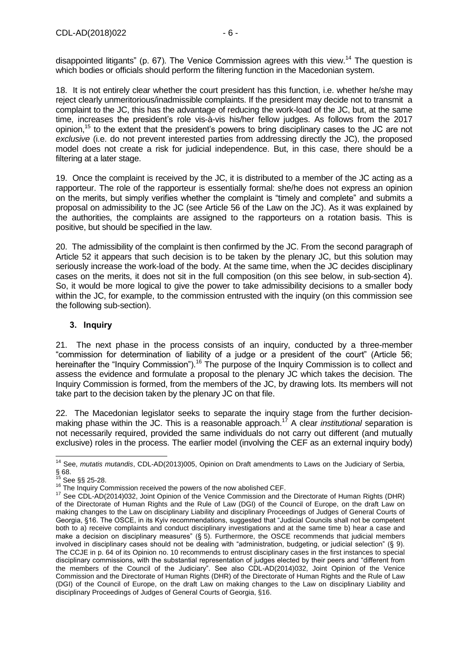disappointed litigants" (p. 67). The Venice Commission agrees with this view.<sup>14</sup> The question is which bodies or officials should perform the filtering function in the Macedonian system.

18. It is not entirely clear whether the court president has this function, i.e. whether he/she may reject clearly unmeritorious/inadmissible complaints. If the president may decide not to transmit a complaint to the JC, this has the advantage of reducing the work-load of the JC, but, at the same time, increases the president's role vis-à-vis his/her fellow judges. As follows from the 2017 opinion,<sup>15</sup> to the extent that the president's powers to bring disciplinary cases to the JC are not *exclusive* (i.e. do not prevent interested parties from addressing directly the JC), the proposed model does not create a risk for judicial independence. But, in this case, there should be a filtering at a later stage.

19. Once the complaint is received by the JC, it is distributed to a member of the JC acting as a rapporteur. The role of the rapporteur is essentially formal: she/he does not express an opinion on the merits, but simply verifies whether the complaint is "timely and complete" and submits a proposal on admissibility to the JC (see Article 56 of the Law on the JC). As it was explained by the authorities, the complaints are assigned to the rapporteurs on a rotation basis. This is positive, but should be specified in the law.

20. The admissibility of the complaint is then confirmed by the JC. From the second paragraph of Article 52 it appears that such decision is to be taken by the plenary JC, but this solution may seriously increase the work-load of the body. At the same time, when the JC decides disciplinary cases on the merits, it does not sit in the full composition (on this see below, in sub-section 4). So, it would be more logical to give the power to take admissibility decisions to a smaller body within the JC, for example, to the commission entrusted with the inquiry (on this commission see the following sub-section).

### <span id="page-5-0"></span>**3. Inquiry**

21. The next phase in the process consists of an inquiry, conducted by a three-member "commission for determination of liability of a judge or a president of the court" (Article 56; hereinafter the "Inquiry Commission").<sup>16</sup> The purpose of the Inquiry Commission is to collect and assess the evidence and formulate a proposal to the plenary JC which takes the decision. The Inquiry Commission is formed, from the members of the JC, by drawing lots. Its members will not take part to the decision taken by the plenary JC on that file.

22. The Macedonian legislator seeks to separate the inquiry stage from the further decisionmaking phase within the JC. This is a reasonable approach. <sup>17</sup> A clear *institutional* separation is not necessarily required, provided the same individuals do not carry out different (and mutually exclusive) roles in the process. The earlier model (involving the CEF as an external inquiry body)

<sup>-</sup><sup>14</sup> See, *mutatis mutandis*, CDL-AD(2013)005, Opinion on Draft amendments to Laws on the Judiciary of Serbia,  $\S$  68.

See §§ 25-28.

<sup>&</sup>lt;sup>16</sup> The Inquiry Commission received the powers of the now abolished CEF.

<sup>&</sup>lt;sup>17</sup> See CDL-AD(2014)032, Joint Opinion of the Venice Commission and the Directorate of Human Rights (DHR) of the Directorate of Human Rights and the Rule of Law (DGI) of the Council of Europe, on the draft Law on making changes to the Law on disciplinary Liability and disciplinary Proceedings of Judges of General Courts of Georgia, §16. The OSCE, in its Kyiv recommendations, suggested that "Judicial Councils shall not be competent both to a) receive complaints and conduct disciplinary investigations and at the same time b) hear a case and make a decision on disciplinary measures" (§ 5). Furthermore, the OSCE recommends that judicial members involved in disciplinary cases should not be dealing with "administration, budgeting, or judicial selection" (§ 9). The CCJE in p. 64 of its Opinion no. 10 recommends to entrust disciplinary cases in the first instances to special disciplinary commissions, with the substantial representation of judges elected by their peers and "different from the members of the Council of the Judiciary". See also CDL-AD(2014)032, Joint Opinion of the Venice Commission and the Directorate of Human Rights (DHR) of the Directorate of Human Rights and the Rule of Law (DGI) of the Council of Europe, on the draft Law on making changes to the Law on disciplinary Liability and disciplinary Proceedings of Judges of General Courts of Georgia, §16.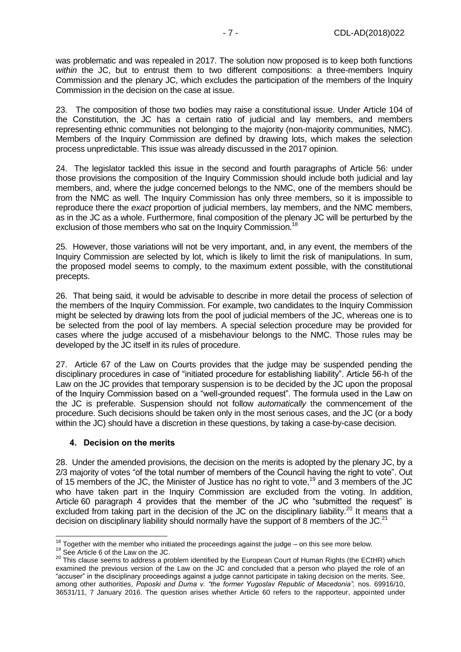was problematic and was repealed in 2017. The solution now proposed is to keep both functions *within* the JC, but to entrust them to two different compositions: a three-members Inquiry Commission and the plenary JC, which excludes the participation of the members of the Inquiry Commission in the decision on the case at issue.

23. The composition of those two bodies may raise a constitutional issue. Under Article 104 of the Constitution, the JC has a certain ratio of judicial and lay members, and members representing ethnic communities not belonging to the majority (non-majority communities, NMC). Members of the Inquiry Commission are defined by drawing lots, which makes the selection process unpredictable. This issue was already discussed in the 2017 opinion.

24. The legislator tackled this issue in the second and fourth paragraphs of Article 56: under those provisions the composition of the Inquiry Commission should include both judicial and lay members, and, where the judge concerned belongs to the NMC, one of the members should be from the NMC as well. The Inquiry Commission has only three members, so it is impossible to reproduce there the *exact* proportion of judicial members, lay members, and the NMC members, as in the JC as a whole. Furthermore, final composition of the plenary JC will be perturbed by the exclusion of those members who sat on the Inquiry Commission.<sup>18</sup>

25. However, those variations will not be very important, and, in any event, the members of the Inquiry Commission are selected by lot, which is likely to limit the risk of manipulations. In sum, the proposed model seems to comply, to the maximum extent possible, with the constitutional precepts.

26. That being said, it would be advisable to describe in more detail the process of selection of the members of the Inquiry Commission. For example, two candidates to the Inquiry Commission might be selected by drawing lots from the pool of judicial members of the JC, whereas one is to be selected from the pool of lay members. A special selection procedure may be provided for cases where the judge accused of a misbehaviour belongs to the NMC. Those rules may be developed by the JC itself in its rules of procedure.

27. Article 67 of the Law on Courts provides that the judge may be suspended pending the disciplinary procedures in case of "initiated procedure for establishing liability". Article 56-h of the Law on the JC provides that temporary suspension is to be decided by the JC upon the proposal of the Inquiry Commission based on a "well-grounded request". The formula used in the Law on the JC is preferable. Suspension should not follow *automatically* the commencement of the procedure. Such decisions should be taken only in the most serious cases, and the JC (or a body within the JC) should have a discretion in these questions, by taking a case-by-case decision.

#### <span id="page-6-0"></span>**4. Decision on the merits**

28. Under the amended provisions, the decision on the merits is adopted by the plenary JC, by a 2/3 majority of votes "of the total number of members of the Council having the right to vote". Out of 15 members of the JC, the Minister of Justice has no right to vote,<sup>19</sup> and 3 members of the JC who have taken part in the Inquiry Commission are excluded from the voting. In addition, Article 60 paragraph 4 provides that the member of the JC who "submitted the request" is excluded from taking part in the decision of the JC on the disciplinary liability.<sup>20</sup> It means that a decision on disciplinary liability should normally have the support of 8 members of the JC.<sup>21</sup>

<sup>19</sup> See Article 6 of the Law on the JC.

 $\overline{1}$  $18$  Together with the member who initiated the proceedings against the judge – on this see more below.

<sup>20</sup> This clause seems to address a problem identified by the European Court of Human Rights (the ECtHR) which examined the previous version of the Law on the JC and concluded that a person who played the role of an "accuser" in the disciplinary proceedings against a judge cannot participate in taking decision on the merits. See, among other authorities, *Poposki and Duma v. "the former Yugoslav Republic of Macedonia",* nos. 69916/10, 36531/11, 7 January 2016. The question arises whether Article 60 refers to the rapporteur, appointed under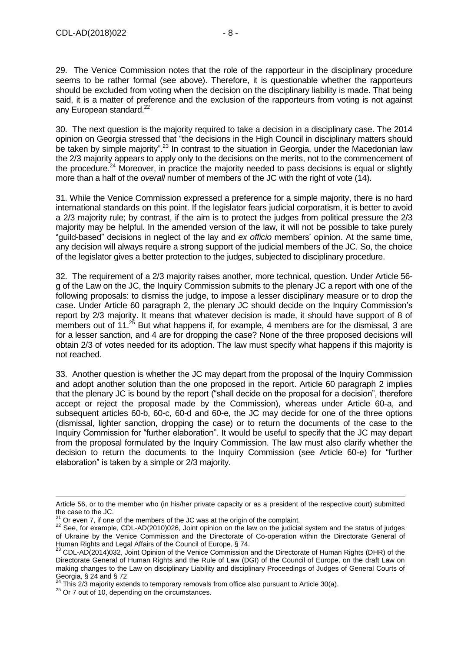29. The Venice Commission notes that the role of the rapporteur in the disciplinary procedure seems to be rather formal (see above). Therefore, it is questionable whether the rapporteurs should be excluded from voting when the decision on the disciplinary liability is made. That being said, it is a matter of preference and the exclusion of the rapporteurs from voting is not against any European standard.<sup>22</sup>

30. The next question is the majority required to take a decision in a disciplinary case. The 2014 opinion on Georgia stressed that "the decisions in the High Council in disciplinary matters should be taken by simple majority".<sup>23</sup> In contrast to the situation in Georgia, under the Macedonian law the 2/3 majority appears to apply only to the decisions on the merits, not to the commencement of the procedure.<sup>24</sup> Moreover, in practice the majority needed to pass decisions is equal or slightly more than a half of the *overall* number of members of the JC with the right of vote (14).

31. While the Venice Commission expressed a preference for a simple majority, there is no hard international standards on this point. If the legislator fears judicial corporatism, it is better to avoid a 2/3 majority rule; by contrast, if the aim is to protect the judges from political pressure the 2/3 majority may be helpful. In the amended version of the law, it will not be possible to take purely "guild-based" decisions in neglect of the lay and *ex officio* members' opinion. At the same time, any decision will always require a strong support of the judicial members of the JC. So, the choice of the legislator gives a better protection to the judges, subjected to disciplinary procedure.

32. The requirement of a 2/3 majority raises another, more technical, question. Under Article 56 g of the Law on the JC, the Inquiry Commission submits to the plenary JC a report with one of the following proposals: to dismiss the judge, to impose a lesser disciplinary measure or to drop the case. Under Article 60 paragraph 2, the plenary JC should decide on the Inquiry Commission's report by 2/3 majority. It means that whatever decision is made, it should have support of 8 of members out of  $11^{25}$  But what happens if, for example, 4 members are for the dismissal, 3 are for a lesser sanction, and 4 are for dropping the case? None of the three proposed decisions will obtain 2/3 of votes needed for its adoption. The law must specify what happens if this majority is not reached.

33. Another question is whether the JC may depart from the proposal of the Inquiry Commission and adopt another solution than the one proposed in the report. Article 60 paragraph 2 implies that the plenary JC is bound by the report ("shall decide on the proposal for a decision", therefore accept or reject the proposal made by the Commission), whereas under Article 60-a, and subsequent articles 60-b, 60-c, 60-d and 60-e, the JC may decide for one of the three options (dismissal, lighter sanction, dropping the case) or to return the documents of the case to the Inquiry Commission for "further elaboration". It would be useful to specify that the JC may depart from the proposal formulated by the Inquiry Commission. The law must also clarify whether the decision to return the documents to the Inquiry Commission (see Article 60-e) for "further elaboration" is taken by a simple or 2/3 majority.

Article 56, or to the member who (in his/her private capacity or as a president of the respective court) submitted the case to the JC.

 $21$  Or even 7, if one of the members of the JC was at the origin of the complaint.

<sup>22</sup> See, for example, CDL-AD(2010)026, Joint opinion on the law on the judicial system and the status of judges of Ukraine by the Venice Commission and the Directorate of Co-operation within the Directorate General of Human Rights and Legal Affairs of the Council of Europe, § 74.

<sup>23</sup> CDL-AD(2014)032, Joint Opinion of the Venice Commission and the Directorate of Human Rights (DHR) of the Directorate General of Human Rights and the Rule of Law (DGI) of the Council of Europe, on the draft Law on making changes to the Law on disciplinary Liability and disciplinary Proceedings of Judges of General Courts of Georgia, § 24 and § 72

This 2/3 majority extends to temporary removals from office also pursuant to Article 30(a).

<sup>&</sup>lt;sup>25</sup> Or 7 out of 10, depending on the circumstances.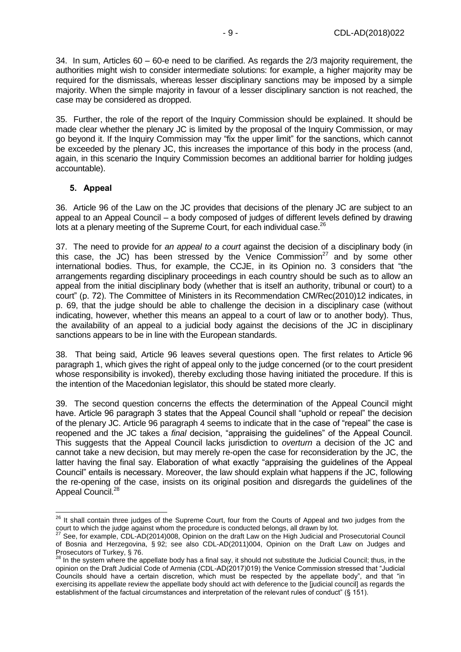34. In sum, Articles 60 – 60-e need to be clarified. As regards the 2/3 majority requirement, the authorities might wish to consider intermediate solutions: for example, a higher majority may be required for the dismissals, whereas lesser disciplinary sanctions may be imposed by a simple majority. When the simple majority in favour of a lesser disciplinary sanction is not reached, the case may be considered as dropped.

35. Further, the role of the report of the Inquiry Commission should be explained. It should be made clear whether the plenary JC is limited by the proposal of the Inquiry Commission, or may go beyond it. If the Inquiry Commission may "fix the upper limit" for the sanctions, which cannot be exceeded by the plenary JC, this increases the importance of this body in the process (and, again, in this scenario the Inquiry Commission becomes an additional barrier for holding judges accountable).

#### <span id="page-8-0"></span>**5. Appeal**

 $\overline{a}$ 

36. Article 96 of the Law on the JC provides that decisions of the plenary JC are subject to an appeal to an Appeal Council – a body composed of judges of different levels defined by drawing lots at a plenary meeting of the Supreme Court, for each individual case.<sup>26</sup>

37. The need to provide for *an appeal to a court* against the decision of a disciplinary body (in this case, the JC) has been stressed by the Venice Commission<sup>27</sup> and by some other international bodies. Thus, for example, the CCJE, in its Opinion no. 3 considers that "the arrangements regarding disciplinary proceedings in each country should be such as to allow an appeal from the initial disciplinary body (whether that is itself an authority, tribunal or court) to a court" (p. 72). The Committee of Ministers in its Recommendation CM/Rec(2010)12 indicates, in p. 69, that the judge should be able to challenge the decision in a disciplinary case (without indicating, however, whether this means an appeal to a court of law or to another body). Thus, the availability of an appeal to a judicial body against the decisions of the JC in disciplinary sanctions appears to be in line with the European standards.

38. That being said, Article 96 leaves several questions open. The first relates to Article 96 paragraph 1, which gives the right of appeal only to the judge concerned (or to the court president whose responsibility is invoked), thereby excluding those having initiated the procedure. If this is the intention of the Macedonian legislator, this should be stated more clearly.

39. The second question concerns the effects the determination of the Appeal Council might have. Article 96 paragraph 3 states that the Appeal Council shall "uphold or repeal" the decision of the plenary JC. Article 96 paragraph 4 seems to indicate that in the case of "repeal" the case is reopened and the JC takes a *final* decision, "appraising the guidelines" of the Appeal Council. This suggests that the Appeal Council lacks jurisdiction to *overturn* a decision of the JC and cannot take a new decision, but may merely re-open the case for reconsideration by the JC, the latter having the final say. Elaboration of what exactly "appraising the guidelines of the Appeal Council" entails is necessary. Moreover, the law should explain what happens if the JC, following the re-opening of the case, insists on its original position and disregards the guidelines of the Appeal Council.<sup>28</sup>

<sup>&</sup>lt;sup>26</sup> It shall contain three judges of the Supreme Court, four from the Courts of Appeal and two judges from the court to which the judge against whom the procedure is conducted belongs, all drawn by lot.

<sup>27</sup> See, for example, CDL-AD(2014)008, Opinion on the draft Law on the High Judicial and Prosecutorial Council of Bosnia and Herzegovina, § 92; see also CDL-AD(2011)004, Opinion on the Draft Law on Judges and Prosecutors of Turkey, § 76.

<sup>&</sup>lt;sup>28</sup> In the system where the appellate body has a final say, it should not substitute the Judicial Council; thus, in the opinion on the Draft Judicial Code of Armenia (CDL-AD(2017)019) the Venice Commission stressed that "Judicial Councils should have a certain discretion, which must be respected by the appellate body", and that "in exercising its appellate review the appellate body should act with deference to the [judicial council] as regards the establishment of the factual circumstances and interpretation of the relevant rules of conduct" (§ 151).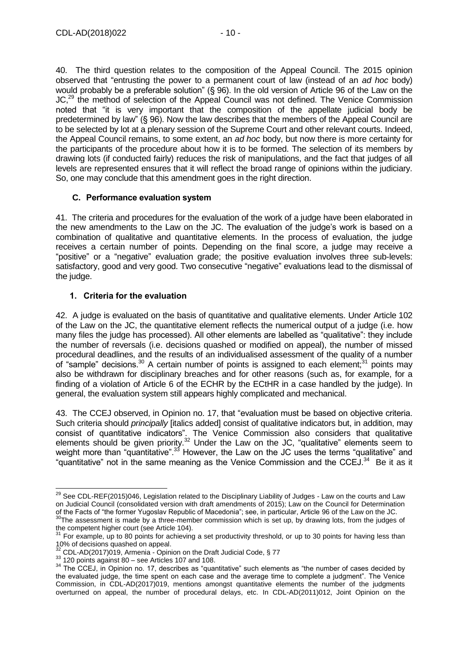40. The third question relates to the composition of the Appeal Council. The 2015 opinion observed that "entrusting the power to a permanent court of law (instead of an *ad hoc* body) would probably be a preferable solution" (§ 96). In the old version of Article 96 of the Law on the JC,<sup>29</sup> the method of selection of the Appeal Council was not defined. The Venice Commission noted that "it is very important that the composition of the appellate judicial body be predetermined by law" (§ 96). Now the law describes that the members of the Appeal Council are to be selected by lot at a plenary session of the Supreme Court and other relevant courts. Indeed, the Appeal Council remains, to some extent, an *ad hoc* body, but now there is more certainty for the participants of the procedure about how it is to be formed. The selection of its members by drawing lots (if conducted fairly) reduces the risk of manipulations, and the fact that judges of all levels are represented ensures that it will reflect the broad range of opinions within the judiciary. So, one may conclude that this amendment goes in the right direction.

#### <span id="page-9-0"></span>**C. Performance evaluation system**

41. The criteria and procedures for the evaluation of the work of a judge have been elaborated in the new amendments to the Law on the JC. The evaluation of the judge's work is based on a combination of qualitative and quantitative elements. In the process of evaluation, the judge receives a certain number of points. Depending on the final score, a judge may receive a "positive" or a "negative" evaluation grade; the positive evaluation involves three sub-levels: satisfactory, good and very good. Two consecutive "negative" evaluations lead to the dismissal of the judge.

#### <span id="page-9-1"></span>**1. Criteria for the evaluation**

42. A judge is evaluated on the basis of quantitative and qualitative elements. Under Article 102 of the Law on the JC, the quantitative element reflects the numerical output of a judge (i.e. how many files the judge has processed). All other elements are labelled as "qualitative": they include the number of reversals (i.e. decisions quashed or modified on appeal), the number of missed procedural deadlines, and the results of an individualised assessment of the quality of a number of "sample" decisions.<sup>30</sup> A certain number of points is assigned to each element;<sup>31</sup> points may also be withdrawn for disciplinary breaches and for other reasons (such as, for example, for a finding of a violation of Article 6 of the ECHR by the ECtHR in a case handled by the judge). In general, the evaluation system still appears highly complicated and mechanical.

43. The CCEJ observed, in Opinion no. 17, that "evaluation must be based on objective criteria. Such criteria should *principally* [italics added] consist of qualitative indicators but, in addition, may consist of quantitative indicators". The Venice Commission also considers that qualitative elements should be given priority.<sup>32</sup> Under the Law on the JC, "qualitative" elements seem to weight more than "quantitative".<sup>33</sup> However, the Law on the JC uses the terms "qualitative" and "quantitative" not in the same meaning as the Venice Commission and the CCEJ. $34$  Be it as it

<sup>&</sup>lt;sup>29</sup> See CDL-REF(2015)046, Legislation related to the Disciplinary Liability of Judges - Law on the courts and Law on Judicial Council (consolidated version with draft amendments of 2015); Law on the Council for Determination of the Facts of "the former Yugoslav Republic of Macedonia"; see, in particular, Article 96 of the Law on the JC.

 $30$ The assessment is made by a three-member commission which is set up, by drawing lots, from the judges of the competent higher court (see Article 104).

 $31$  For example, up to 80 points for achieving a set productivity threshold, or up to 30 points for having less than 10% of decisions quashed on appeal.

 $32$  CDL-AD(2017)019, Armenia - Opinion on the Draft Judicial Code, § 77

 $33$  120 points against 80 – see Articles 107 and 108.

<sup>&</sup>lt;sup>34</sup> The CCEJ, in Opinion no. 17, describes as "quantitative" such elements as "the number of cases decided by the evaluated judge, the time spent on each case and the average time to complete a judgment". The Venice Commission, in CDL-AD(2017)019, mentions amongst quantitative elements the number of the judgments overturned on appeal, the number of procedural delays, etc. In CDL-AD(2011)012, Joint Opinion on the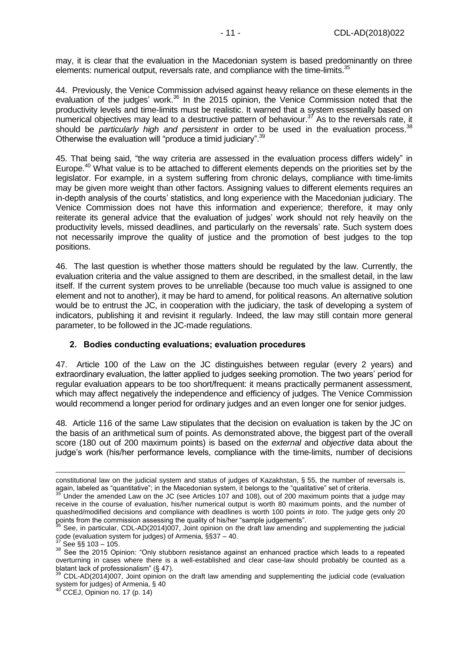may, it is clear that the evaluation in the Macedonian system is based predominantly on three elements: numerical output, reversals rate, and compliance with the time-limits.<sup>35</sup>

44. Previously, the Venice Commission advised against heavy reliance on these elements in the evaluation of the judges' work.<sup>36</sup> In the 2015 opinion, the Venice Commission noted that the productivity levels and time-limits must be realistic. It warned that a system essentially based on numerical objectives may lead to a destructive pattern of behaviour. $37$  As to the reversals rate, it should be *particularly high and persistent* in order to be used in the evaluation process.<sup>38</sup> Otherwise the evaluation will "produce a timid judiciary".<sup>39</sup>

45. That being said, "the way criteria are assessed in the evaluation process differs widely" in Europe.<sup>40</sup> What value is to be attached to different elements depends on the priorities set by the legislator. For example, in a system suffering from chronic delays, compliance with time-limits may be given more weight than other factors. Assigning values to different elements requires an in-depth analysis of the courts' statistics, and long experience with the Macedonian judiciary. The Venice Commission does not have this information and experience; therefore, it may only reiterate its general advice that the evaluation of judges' work should not rely heavily on the productivity levels, missed deadlines, and particularly on the reversals' rate. Such system does not necessarily improve the quality of justice and the promotion of best judges to the top positions.

46. The last question is whether those matters should be regulated by the law. Currently, the evaluation criteria and the value assigned to them are described, in the smallest detail, in the law itself. If the current system proves to be unreliable (because too much value is assigned to one element and not to another), it may be hard to amend, for political reasons. An alternative solution would be to entrust the JC, in cooperation with the judiciary, the task of developing a system of indicators, publishing it and revisint it regularly. Indeed, the law may still contain more general parameter, to be followed in the JC-made regulations.

#### <span id="page-10-0"></span>**2. Bodies conducting evaluations; evaluation procedures**

47. Article 100 of the Law on the JC distinguishes between regular (every 2 years) and extraordinary evaluation, the latter applied to judges seeking promotion. The two years' period for regular evaluation appears to be too short/frequent: it means practically permanent assessment, which may affect negatively the independence and efficiency of judges. The Venice Commission would recommend a longer period for ordinary judges and an even longer one for senior judges.

48. Article 116 of the same Law stipulates that the decision on evaluation is taken by the JC on the basis of an arithmetical sum of points. As demonstrated above, the biggest part of the overall score (180 out of 200 maximum points) is based on the *external* and *objective* data about the judge's work (his/her performance levels, compliance with the time-limits, number of decisions

constitutional law on the judicial system and status of judges of Kazakhstan, § 55, the number of reversals is, again, labeled as "quantitative"; in the Macedonian system, it belongs to the "qualitative" set of criteria.

Under the amended Law on the JC (see Articles 107 and 108), out of 200 maximum points that a judge may receive in the course of evaluation, his/her numerical output is worth 80 maximum points, and the number of quashed/modified decisions and compliance with deadlines is worth 100 points *in toto*. The judge gets only 20 points from the commission assessing the quality of his/her "sample judgements".

<sup>&</sup>lt;sup>36</sup> See, in particular, CDL-AD(2014)007, Joint opinion on the draft law amending and supplementing the judicial code (evaluation system for judges) of Armenia,  $\S$ §37 – 40.

See §§ 103 – 105.

<sup>38</sup> See the 2015 Opinion: "Only stubborn resistance against an enhanced practice which leads to a repeated overturning in cases where there is a well-established and clear case-law should probably be counted as a blatant lack of professionalism" (§ 47).

<sup>39</sup> CDL-AD(2014)007, Joint opinion on the draft law amending and supplementing the judicial code (evaluation system for judges) of Armenia, § 40

CCEJ, Opinion no. 17 (p. 14)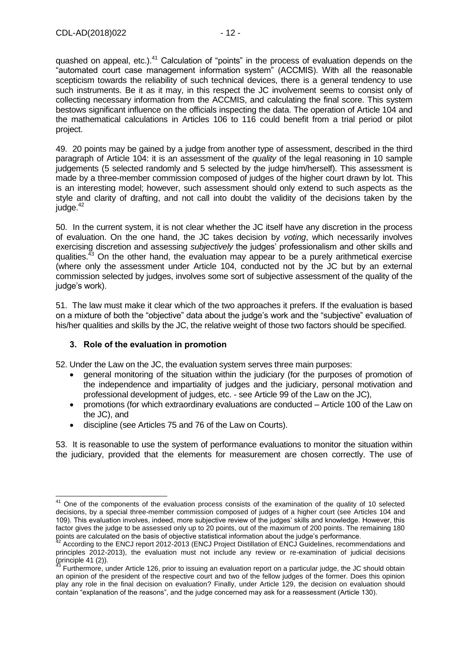quashed on appeal, etc.).<sup>41</sup> Calculation of "points" in the process of evaluation depends on the "automated court case management information system" (ACCMIS). With all the reasonable scepticism towards the reliability of such technical devices, there is a general tendency to use such instruments. Be it as it may, in this respect the JC involvement seems to consist only of collecting necessary information from the ACCMIS, and calculating the final score. This system bestows significant influence on the officials inspecting the data. The operation of Article 104 and the mathematical calculations in Articles 106 to 116 could benefit from a trial period or pilot project.

49. 20 points may be gained by a judge from another type of assessment, described in the third paragraph of Article 104: it is an assessment of the *quality* of the legal reasoning in 10 sample judgements (5 selected randomly and 5 selected by the judge him/herself). This assessment is made by a three-member commission composed of judges of the higher court drawn by lot. This is an interesting model; however, such assessment should only extend to such aspects as the style and clarity of drafting, and not call into doubt the validity of the decisions taken by the judge.<sup>42</sup>

50. In the current system, it is not clear whether the JC itself have any discretion in the process of evaluation. On the one hand, the JC takes decision by *voting*, which necessarily involves exercising discretion and assessing *subjectively* the judges' professionalism and other skills and qualities. $43$  On the other hand, the evaluation may appear to be a purely arithmetical exercise (where only the assessment under Article 104, conducted not by the JC but by an external commission selected by judges, involves some sort of subjective assessment of the quality of the judge's work).

51. The law must make it clear which of the two approaches it prefers. If the evaluation is based on a mixture of both the "objective" data about the judge's work and the "subjective" evaluation of his/her qualities and skills by the JC, the relative weight of those two factors should be specified.

## <span id="page-11-0"></span>**3. Role of the evaluation in promotion**

52. Under the Law on the JC, the evaluation system serves three main purposes:

- general monitoring of the situation within the judiciary (for the purposes of promotion of the independence and impartiality of judges and the judiciary, personal motivation and professional development of judges, etc. - see Article 99 of the Law on the JC),
- promotions (for which extraordinary evaluations are conducted Article 100 of the Law on the JC), and
- discipline (see Articles 75 and 76 of the Law on Courts).

53. It is reasonable to use the system of performance evaluations to monitor the situation within the judiciary, provided that the elements for measurement are chosen correctly. The use of

 $\overline{a}$ <sup>41</sup> One of the components of the evaluation process consists of the examination of the quality of 10 selected decisions, by a special three-member commission composed of judges of a higher court (see Articles 104 and 109). This evaluation involves, indeed, more subjective review of the judges' skills and knowledge. However, this factor gives the judge to be assessed only up to 20 points, out of the maximum of 200 points. The remaining 180 points are calculated on the basis of objective statistical information about the judge's performance.

<sup>42</sup> According to the ENCJ report 2012-2013 (ENCJ Project Distillation of ENCJ Guidelines, recommendations and principles 2012-2013), the evaluation must not include any review or re-examination of judicial decisions (principle 41 (2)).

<sup>&</sup>lt;sup>43</sup> Furthermore, under Article 126, prior to issuing an evaluation report on a particular judge, the JC should obtain an opinion of the president of the respective court and two of the fellow judges of the former. Does this opinion play any role in the final decision on evaluation? Finally, under Article 129, the decision on evaluation should contain "explanation of the reasons", and the judge concerned may ask for a reassessment (Article 130).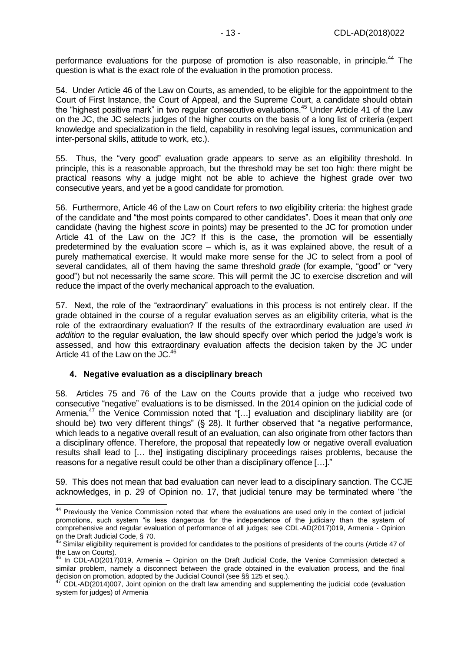performance evaluations for the purpose of promotion is also reasonable, in principle.<sup>44</sup> The question is what is the exact role of the evaluation in the promotion process.

54. Under Article 46 of the Law on Courts, as amended, to be eligible for the appointment to the Court of First Instance, the Court of Appeal, and the Supreme Court, a candidate should obtain the "highest positive mark" in two regular consecutive evaluations.<sup>45</sup> Under Article 41 of the Law on the JC, the JC selects judges of the higher courts on the basis of a long list of criteria (expert knowledge and specialization in the field, capability in resolving legal issues, communication and inter-personal skills, attitude to work, etc.).

55. Thus, the "very good" evaluation grade appears to serve as an eligibility threshold. In principle, this is a reasonable approach, but the threshold may be set too high: there might be practical reasons why a judge might not be able to achieve the highest grade over two consecutive years, and yet be a good candidate for promotion.

56. Furthermore, Article 46 of the Law on Court refers to *two* eligibility criteria: the highest grade of the candidate and "the most points compared to other candidates". Does it mean that only *one* candidate (having the highest *score* in points) may be presented to the JC for promotion under Article 41 of the Law on the JC? If this is the case, the promotion will be essentially predetermined by the evaluation score – which is, as it was explained above, the result of a purely mathematical exercise. It would make more sense for the JC to select from a pool of several candidates, all of them having the same threshold *grade* (for example, "good" or "very good") but not necessarily the same *score*. This will permit the JC to exercise discretion and will reduce the impact of the overly mechanical approach to the evaluation.

57. Next, the role of the "extraordinary" evaluations in this process is not entirely clear. If the grade obtained in the course of a regular evaluation serves as an eligibility criteria, what is the role of the extraordinary evaluation? If the results of the extraordinary evaluation are used *in addition* to the regular evaluation, the law should specify over which period the judge's work is assessed, and how this extraordinary evaluation affects the decision taken by the JC under Article 41 of the Law on the  $JC<sup>46</sup>$ 

#### <span id="page-12-0"></span>**4. Negative evaluation as a disciplinary breach**

58. Articles 75 and 76 of the Law on the Courts provide that a judge who received two consecutive "negative" evaluations is to be dismissed. In the 2014 opinion on the judicial code of Armenia,<sup>47</sup> the Venice Commission noted that "[...] evaluation and disciplinary liability are (or should be) two very different things" (§ 28). It further observed that "a negative performance, which leads to a negative overall result of an evaluation, can also originate from other factors than a disciplinary offence. Therefore, the proposal that repeatedly low or negative overall evaluation results shall lead to [… the] instigating disciplinary proceedings raises problems, because the reasons for a negative result could be other than a disciplinary offence […]."

59. This does not mean that bad evaluation can never lead to a disciplinary sanction. The CCJE acknowledges, in p. 29 of Opinion no. 17, that judicial tenure may be terminated where "the

<sup>-</sup><sup>44</sup> Previously the Venice Commission noted that where the evaluations are used only in the context of judicial promotions, such system "is less dangerous for the independence of the judiciary than the system of comprehensive and regular evaluation of performance of all judges; see CDL-AD(2017)019, Armenia - Opinion on the Draft Judicial Code, § 70.

 $45$  Similar eligibility requirement is provided for candidates to the positions of presidents of the courts (Article 47 of the Law on Courts).

 $46$  In CDL-AD(2017)019, Armenia – Opinion on the Draft Judicial Code, the Venice Commission detected a similar problem, namely a disconnect between the grade obtained in the evaluation process, and the final decision on promotion, adopted by the Judicial Council (see §§ 125 et seq.).

 $47$  CDL-AD(2014)007, Joint opinion on the draft law amending and supplementing the judicial code (evaluation system for judges) of Armenia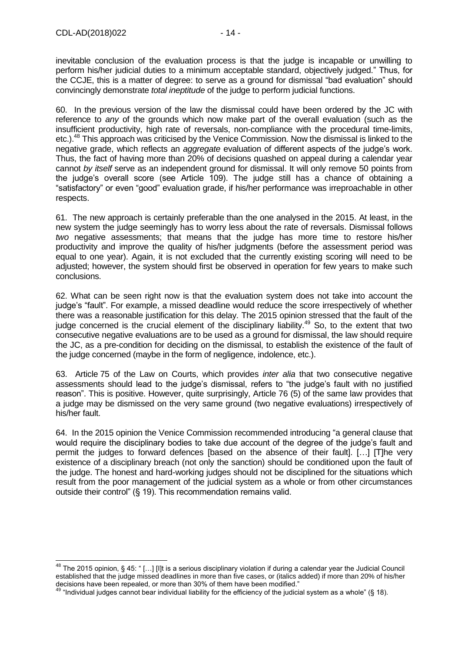-

inevitable conclusion of the evaluation process is that the judge is incapable or unwilling to perform his/her judicial duties to a minimum acceptable standard, objectively judged." Thus, for the CCJE, this is a matter of degree: to serve as a ground for dismissal "bad evaluation" should convincingly demonstrate *total ineptitude* of the judge to perform judicial functions.

60. In the previous version of the law the dismissal could have been ordered by the JC with reference to *any* of the grounds which now make part of the overall evaluation (such as the insufficient productivity, high rate of reversals, non-compliance with the procedural time-limits, etc.).<sup>48</sup> This approach was criticised by the Venice Commission. Now the dismissal is linked to the negative grade, which reflects an *aggregate* evaluation of different aspects of the judge's work. Thus, the fact of having more than 20% of decisions quashed on appeal during a calendar year cannot *by itself* serve as an independent ground for dismissal. It will only remove 50 points from the judge's overall score (see Article 109). The judge still has a chance of obtaining a "satisfactory" or even "good" evaluation grade, if his/her performance was irreproachable in other respects.

61. The new approach is certainly preferable than the one analysed in the 2015. At least, in the new system the judge seemingly has to worry less about the rate of reversals. Dismissal follows *two* negative assessments; that means that the judge has more time to restore his/her productivity and improve the quality of his/her judgments (before the assessment period was equal to one year). Again, it is not excluded that the currently existing scoring will need to be adjusted; however, the system should first be observed in operation for few years to make such conclusions.

62. What can be seen right now is that the evaluation system does not take into account the judge's "fault". For example, a missed deadline would reduce the score irrespectively of whether there was a reasonable justification for this delay. The 2015 opinion stressed that the fault of the judge concerned is the crucial element of the disciplinary liability.<sup>49</sup> So, to the extent that two consecutive negative evaluations are to be used as a ground for dismissal, the law should require the JC, as a pre-condition for deciding on the dismissal, to establish the existence of the fault of the judge concerned (maybe in the form of negligence, indolence, etc.).

63. Article 75 of the Law on Courts, which provides *inter alia* that two consecutive negative assessments should lead to the judge's dismissal, refers to "the judge's fault with no justified reason". This is positive. However, quite surprisingly, Article 76 (5) of the same law provides that a judge may be dismissed on the very same ground (two negative evaluations) irrespectively of his/her fault.

64. In the 2015 opinion the Venice Commission recommended introducing "a general clause that would require the disciplinary bodies to take due account of the degree of the judge's fault and permit the judges to forward defences [based on the absence of their fault]. […] [T]he very existence of a disciplinary breach (not only the sanction) should be conditioned upon the fault of the judge. The honest and hard-working judges should not be disciplined for the situations which result from the poor management of the judicial system as a whole or from other circumstances outside their control" (§ 19). This recommendation remains valid.

<sup>&</sup>lt;sup>48</sup> The 2015 opinion, § 45: " [...] [I]t is a serious disciplinary violation if during a calendar year the Judicial Council established that the judge missed deadlines in more than five cases, or (italics added) if more than 20% of his/her decisions have been repealed, or more than 30% of them have been modified."

<sup>49</sup> "Individual judges cannot bear individual liability for the efficiency of the judicial system as a whole" (§ 18).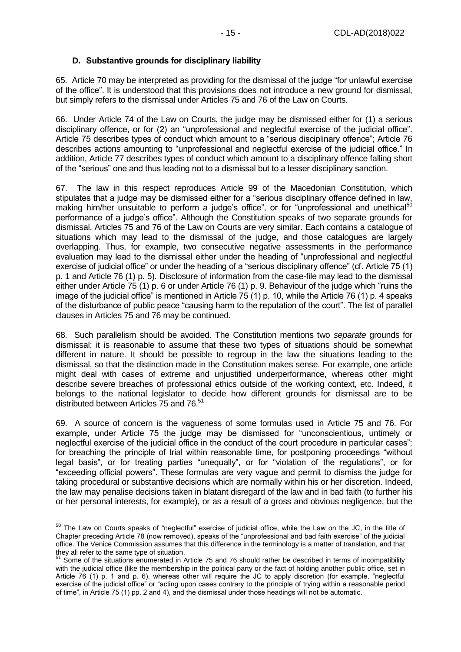## <span id="page-14-0"></span>**D. Substantive grounds for disciplinary liability**

65. Article 70 may be interpreted as providing for the dismissal of the judge "for unlawful exercise of the office". It is understood that this provisions does not introduce a new ground for dismissal, but simply refers to the dismissal under Articles 75 and 76 of the Law on Courts.

66. Under Article 74 of the Law on Courts, the judge may be dismissed either for (1) a serious disciplinary offence, or for (2) an "unprofessional and neglectful exercise of the judicial office". Article 75 describes types of conduct which amount to a "serious disciplinary offence"; Article 76 describes actions amounting to "unprofessional and neglectful exercise of the judicial office." In addition, Article 77 describes types of conduct which amount to a disciplinary offence falling short of the "serious" one and thus leading not to a dismissal but to a lesser disciplinary sanction.

67. The law in this respect reproduces Article 99 of the Macedonian Constitution, which stipulates that a judge may be dismissed either for a "serious disciplinary offence defined in law, making him/her unsuitable to perform a judge's office", or for "unprofessional and unethical<sup>50</sup> performance of a judge's office". Although the Constitution speaks of two separate grounds for dismissal, Articles 75 and 76 of the Law on Courts are very similar. Each contains a catalogue of situations which may lead to the dismissal of the judge, and those catalogues are largely overlapping. Thus, for example, two consecutive negative assessments in the performance evaluation may lead to the dismissal either under the heading of "unprofessional and neglectful exercise of judicial office" or under the heading of a "serious disciplinary offence" (cf. Article 75 (1) p. 1 and Article 76 (1) p. 5). Disclosure of information from the case-file may lead to the dismissal either under Article 75 (1) p. 6 or under Article 76 (1) p. 9. Behaviour of the judge which "ruins the image of the judicial office" is mentioned in Article 75 (1) p. 10, while the Article 76 (1) p. 4 speaks of the disturbance of public peace "causing harm to the reputation of the court". The list of parallel clauses in Articles 75 and 76 may be continued.

68. Such parallelism should be avoided. The Constitution mentions two *separate* grounds for dismissal; it is reasonable to assume that these two types of situations should be somewhat different in nature. It should be possible to regroup in the law the situations leading to the dismissal, so that the distinction made in the Constitution makes sense. For example, one article might deal with cases of extreme and unjustified underperformance, whereas other might describe severe breaches of professional ethics outside of the working context, etc. Indeed, it belongs to the national legislator to decide how different grounds for dismissal are to be distributed between Articles 75 and 76.<sup>51</sup>

69. A source of concern is the vagueness of some formulas used in Article 75 and 76. For example, under Article 75 the judge may be dismissed for "unconscientious, untimely or neglectful exercise of the judicial office in the conduct of the court procedure in particular cases"; for breaching the principle of trial within reasonable time, for postponing proceedings "without legal basis", or for treating parties "unequally", or for "violation of the regulations", or for "exceeding official powers". These formulas are very vague and permit to dismiss the judge for taking procedural or substantive decisions which are normally within his or her discretion. Indeed, the law may penalise decisions taken in blatant disregard of the law and in bad faith (to further his or her personal interests, for example), or as a result of a gross and obvious negligence, but the

 $50$  The Law on Courts speaks of "neglectful" exercise of judicial office, while the Law on the JC, in the title of Chapter preceding Article 78 (now removed), speaks of the "unprofessional and bad faith exercise" of the judicial office. The Venice Commission assumes that this difference in the terminology is a matter of translation, and that they all refer to the same type of situation.

 $51$  Some of the situations enumerated in Article 75 and 76 should rather be described in terms of incompatibility with the judicial office (like the membership in the political party or the fact of holding another public office, set in Article 76 (1) p. 1 and p. 6), whereas other will require the JC to apply discretion (for example, "neglectful exercise of the judicial office" or "acting upon cases contrary to the principle of trying within a reasonable period of time", in Article 75 (1) pp. 2 and 4), and the dismissal under those headings will not be automatic.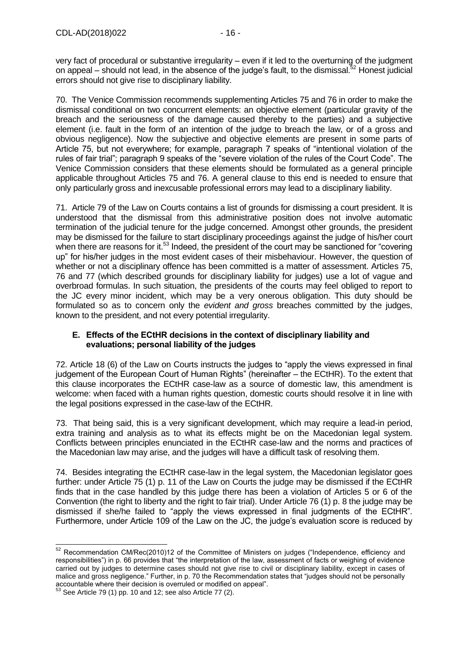very fact of procedural or substantive irregularity – even if it led to the overturning of the judgment on appeal – should not lead, in the absence of the judge's fault, to the dismissal.<sup>52</sup> Honest judicial errors should not give rise to disciplinary liability.

70. The Venice Commission recommends supplementing Articles 75 and 76 in order to make the dismissal conditional on two concurrent elements: an objective element (particular gravity of the breach and the seriousness of the damage caused thereby to the parties) and a subjective element (i.e. fault in the form of an intention of the judge to breach the law, or of a gross and obvious negligence). Now the subjective and objective elements are present in some parts of Article 75, but not everywhere; for example, paragraph 7 speaks of "intentional violation of the rules of fair trial"; paragraph 9 speaks of the "severe violation of the rules of the Court Code". The Venice Commission considers that these elements should be formulated as a general principle applicable throughout Articles 75 and 76. A general clause to this end is needed to ensure that only particularly gross and inexcusable professional errors may lead to a disciplinary liability.

71. Article 79 of the Law on Courts contains a list of grounds for dismissing a court president. It is understood that the dismissal from this administrative position does not involve automatic termination of the judicial tenure for the judge concerned. Amongst other grounds, the president may be dismissed for the failure to start disciplinary proceedings against the judge of his/her court when there are reasons for it.<sup>53</sup> Indeed, the president of the court may be sanctioned for "covering" up" for his/her judges in the most evident cases of their misbehaviour. However, the question of whether or not a disciplinary offence has been committed is a matter of assessment. Articles 75, 76 and 77 (which described grounds for disciplinary liability for judges) use a lot of vague and overbroad formulas. In such situation, the presidents of the courts may feel obliged to report to the JC every minor incident, which may be a very onerous obligation. This duty should be formulated so as to concern only the *evident and gross* breaches committed by the judges, known to the president, and not every potential irregularity.

## <span id="page-15-0"></span>**E. Effects of the ECtHR decisions in the context of disciplinary liability and evaluations; personal liability of the judges**

72. Article 18 (6) of the Law on Courts instructs the judges to "apply the views expressed in final judgement of the European Court of Human Rights" (hereinafter – the ECtHR). To the extent that this clause incorporates the ECtHR case-law as a source of domestic law, this amendment is welcome: when faced with a human rights question, domestic courts should resolve it in line with the legal positions expressed in the case-law of the ECtHR.

73. That being said, this is a very significant development, which may require a lead-in period, extra training and analysis as to what its effects might be on the Macedonian legal system. Conflicts between principles enunciated in the ECtHR case-law and the norms and practices of the Macedonian law may arise, and the judges will have a difficult task of resolving them.

74. Besides integrating the ECtHR case-law in the legal system, the Macedonian legislator goes further: under Article 75 (1) p. 11 of the Law on Courts the judge may be dismissed if the ECtHR finds that in the case handled by this judge there has been a violation of Articles 5 or 6 of the Convention (the right to liberty and the right to fair trial). Under Article 76 (1) p. 8 the judge may be dismissed if she/he failed to "apply the views expressed in final judgments of the ECtHR". Furthermore, under Article 109 of the Law on the JC, the judge's evaluation score is reduced by

<sup>-</sup> $52$  Recommendation CM/Rec(2010)12 of the Committee of Ministers on judges ("Independence, efficiency and responsibilities") in p. 66 provides that "the interpretation of the law, assessment of facts or weighing of evidence carried out by judges to determine cases should not give rise to civil or disciplinary liability, except in cases of malice and gross negligence." Further, in p. 70 the Recommendation states that "judges should not be personally accountable where their decision is overruled or modified on appeal".

See Article 79 (1) pp. 10 and 12; see also Article 77 (2).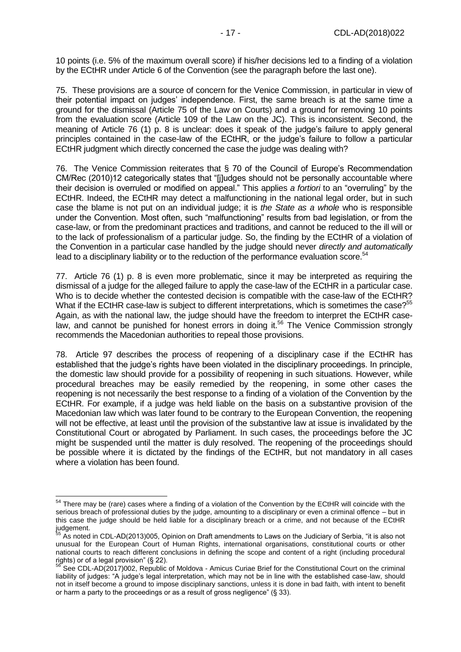10 points (i.e. 5% of the maximum overall score) if his/her decisions led to a finding of a violation by the ECtHR under Article 6 of the Convention (see the paragraph before the last one).

75. These provisions are a source of concern for the Venice Commission, in particular in view of their potential impact on judges' independence. First, the same breach is at the same time a ground for the dismissal (Article 75 of the Law on Courts) and a ground for removing 10 points from the evaluation score (Article 109 of the Law on the JC). This is inconsistent. Second, the meaning of Article 76 (1) p. 8 is unclear: does it speak of the judge's failure to apply general principles contained in the case-law of the ECtHR, or the judge's failure to follow a particular ECtHR judgment which directly concerned the case the judge was dealing with?

76. The Venice Commission reiterates that § 70 of the Council of Europe's Recommendation CM/Rec (2010)12 categorically states that "[j]udges should not be personally accountable where their decision is overruled or modified on appeal." This applies *a fortiori* to an "overruling" by the ECtHR. Indeed, the ECtHR may detect a malfunctioning in the national legal order, but in such case the blame is not put on an individual judge; it is *the State as a whole* who is responsible under the Convention. Most often, such "malfunctioning" results from bad legislation, or from the case-law, or from the predominant practices and traditions, and cannot be reduced to the ill will or to the lack of professionalism of a particular judge. So, the finding by the ECtHR of a violation of the Convention in a particular case handled by the judge should never *directly and automatically* lead to a disciplinary liability or to the reduction of the performance evaluation score.<sup>54</sup>

77. Article 76 (1) p. 8 is even more problematic, since it may be interpreted as requiring the dismissal of a judge for the alleged failure to apply the case-law of the ECtHR in a particular case. Who is to decide whether the contested decision is compatible with the case-law of the ECtHR? What if the ECtHR case-law is subject to different interpretations, which is sometimes the case?<sup>55</sup> Again, as with the national law, the judge should have the freedom to interpret the ECtHR caselaw, and cannot be punished for honest errors in doing it.<sup>56</sup> The Venice Commission strongly recommends the Macedonian authorities to repeal those provisions.

78. Article 97 describes the process of reopening of a disciplinary case if the ECtHR has established that the judge's rights have been violated in the disciplinary proceedings. In principle, the domestic law should provide for a possibility of reopening in such situations. However, while procedural breaches may be easily remedied by the reopening, in some other cases the reopening is not necessarily the best response to a finding of a violation of the Convention by the ECtHR. For example, if a judge was held liable on the basis on a substantive provision of the Macedonian law which was later found to be contrary to the European Convention, the reopening will not be effective, at least until the provision of the substantive law at issue is invalidated by the Constitutional Court or abrogated by Parliament. In such cases, the proceedings before the JC might be suspended until the matter is duly resolved. The reopening of the proceedings should be possible where it is dictated by the findings of the ECtHR, but not mandatory in all cases where a violation has been found.

 $\overline{a}$ 

 $54$  There may be (rare) cases where a finding of a violation of the Convention by the ECtHR will coincide with the serious breach of professional duties by the judge, amounting to a disciplinary or even a criminal offence – but in this case the judge should be held liable for a disciplinary breach or a crime, and not because of the ECtHR judgement.

<sup>&</sup>lt;sup>55</sup> As noted in CDL-AD(2013)005, Opinion on Draft amendments to Laws on the Judiciary of Serbia, "it is also not unusual for the European Court of Human Rights, international organisations, constitutional courts or other national courts to reach different conclusions in defining the scope and content of a right (including procedural rights) or of a legal provision" (§ 22).

<sup>&</sup>lt;sup>56</sup> See CDL-AD(2017)002, Republic of Moldova - Amicus Curiae Brief for the Constitutional Court on the criminal liability of judges: "A judge's legal interpretation, which may not be in line with the established case-law, should not in itself become a ground to impose disciplinary sanctions, unless it is done in bad faith, with intent to benefit or harm a party to the proceedings or as a result of gross negligence" (§ 33).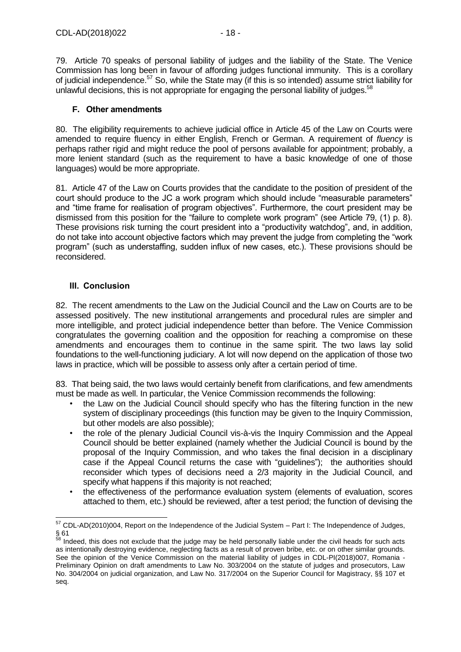79. Article 70 speaks of personal liability of judges and the liability of the State. The Venice Commission has long been in favour of affording judges functional immunity. This is a corollary of judicial independence.<sup>57</sup> So, while the State may (if this is so intended) assume strict liability for unlawful decisions, this is not appropriate for engaging the personal liability of judges.<sup>58</sup>

### <span id="page-17-0"></span>**F. Other amendments**

80. The eligibility requirements to achieve judicial office in Article 45 of the Law on Courts were amended to require fluency in either English, French or German. A requirement of *fluency* is perhaps rather rigid and might reduce the pool of persons available for appointment; probably, a more lenient standard (such as the requirement to have a basic knowledge of one of those languages) would be more appropriate.

81. Article 47 of the Law on Courts provides that the candidate to the position of president of the court should produce to the JC a work program which should include "measurable parameters" and "time frame for realisation of program objectives". Furthermore, the court president may be dismissed from this position for the "failure to complete work program" (see Article 79, (1) p. 8). These provisions risk turning the court president into a "productivity watchdog", and, in addition, do not take into account objective factors which may prevent the judge from completing the "work program" (such as understaffing, sudden influx of new cases, etc.). These provisions should be reconsidered.

## <span id="page-17-1"></span>**III. Conclusion**

82. The recent amendments to the Law on the Judicial Council and the Law on Courts are to be assessed positively. The new institutional arrangements and procedural rules are simpler and more intelligible, and protect judicial independence better than before. The Venice Commission congratulates the governing coalition and the opposition for reaching a compromise on these amendments and encourages them to continue in the same spirit. The two laws lay solid foundations to the well-functioning judiciary. A lot will now depend on the application of those two laws in practice, which will be possible to assess only after a certain period of time.

83. That being said, the two laws would certainly benefit from clarifications, and few amendments must be made as well. In particular, the Venice Commission recommends the following:

- the Law on the Judicial Council should specify who has the filtering function in the new system of disciplinary proceedings (this function may be given to the Inquiry Commission, but other models are also possible);
- the role of the plenary Judicial Council vis-à-vis the Inquiry Commission and the Appeal Council should be better explained (namely whether the Judicial Council is bound by the proposal of the Inquiry Commission, and who takes the final decision in a disciplinary case if the Appeal Council returns the case with "guidelines"); the authorities should reconsider which types of decisions need a 2/3 majority in the Judicial Council, and specify what happens if this majority is not reached;
- the effectiveness of the performance evaluation system (elements of evaluation, scores attached to them, etc.) should be reviewed, after a test period; the function of devising the

 $\overline{a}$  $57$  CDL-AD(2010)004, Report on the Independence of the Judicial System  $-$  Part I: The Independence of Judges, § 61

<sup>&</sup>lt;sup>58</sup> Indeed, this does not exclude that the judge may be held personally liable under the civil heads for such acts as intentionally destroying evidence, neglecting facts as a result of proven bribe, etc. or on other similar grounds. See the opinion of the Venice Commission on the material liability of judges in CDL-PI(2018)007, Romania -Preliminary Opinion on draft amendments to Law No. 303/2004 on the statute of judges and prosecutors, Law No. 304/2004 on judicial organization, and Law No. 317/2004 on the Superior Council for Magistracy, §§ 107 et seq.